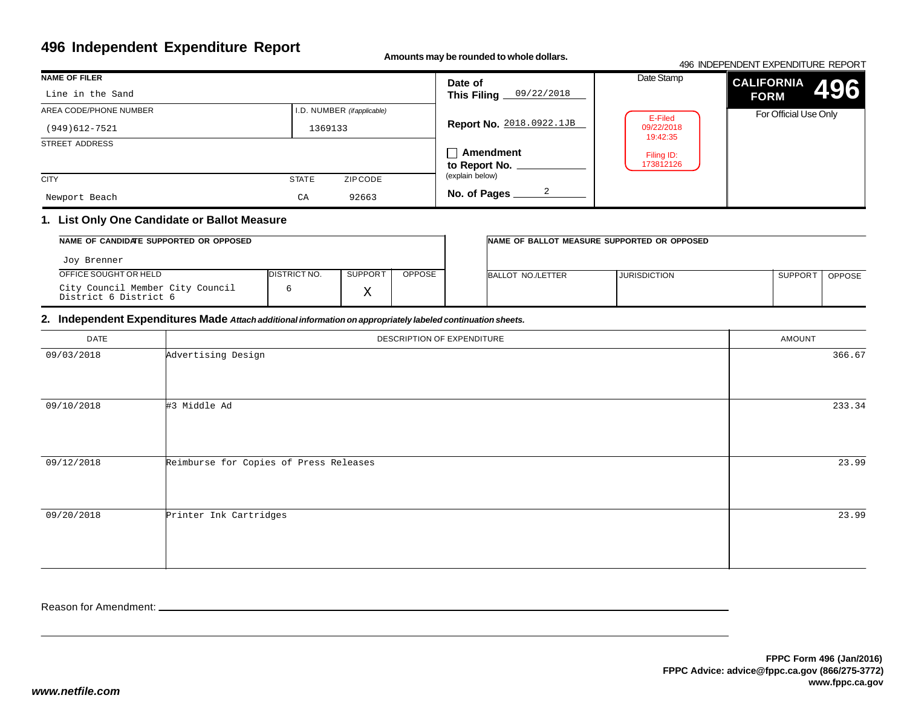# **496 Independent Expenditure Report**

**Amounts may be rounded to whole dollars.**

#### 496 INDEPENDENT EXPENDITURE REPORT**CALIFORNIAFORM** For Official Use OnlyDate Stamp**496NAME OF FILER**STREET ADDRESS **CITY STATE** ZIP CODE I.D. NUMBER *(if applicable)***Date of This Filing Report No.** 2018.0922.1JB**Amendmentto Report No. No. of Pages** AREA CODE/PHONE NUMBER(explain below)Line in the Sand(949)612-7521 <sup>1369133</sup> Newport Beachh CA 92663 09/22/20182E-Filed 09/22/2018 19:42:35Filing ID:173812126

## **1. List Only One Candidate or Ballot Measure**

| NAME OF CANDIDATE SUPPORTED OR OPPOSED                    |              |         | INAME OF BALLOT MEASURE SUPPORTED OR OPPOSED |                   |                     |                |               |
|-----------------------------------------------------------|--------------|---------|----------------------------------------------|-------------------|---------------------|----------------|---------------|
| Joy Brenner                                               |              |         |                                              |                   |                     |                |               |
| OFFICE SOUGHT OR HELD                                     | DISTRICT NO. | SUPPORT | <b>OPPOSE</b>                                | BALLOT NO./LETTER | <b>JURISDICTION</b> | <b>SUPPORT</b> | <b>OPPOSE</b> |
| City Council Member City Council<br>District 6 District 6 |              |         |                                              |                   |                     |                |               |

### **2. Independent Expenditures Made** *Attach additional information on appropriately labeled continuation sheets.*

| DATE       | DESCRIPTION OF EXPENDITURE             | AMOUNT |
|------------|----------------------------------------|--------|
| 09/03/2018 | Advertising Design                     | 366.67 |
| 09/10/2018 | #3 Middle Ad                           | 233.34 |
| 09/12/2018 | Reimburse for Copies of Press Releases | 23.99  |
| 09/20/2018 | Printer Ink Cartridges                 | 23.99  |

Reason for Amendment: